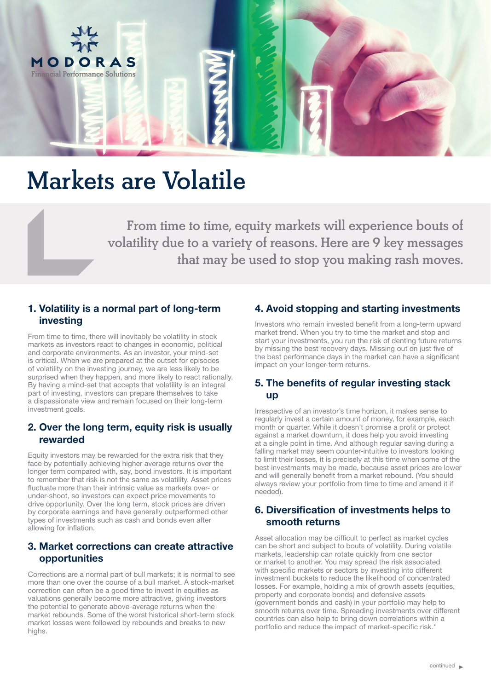

# Markets are Volatile

From time to time, equity markets will experience bouts of volatility due to a variety of reasons. Here are 9 key messages that may be used to stop you making rash moves.

## 1. Volatility is a normal part of long-term investing

From time to time, there will inevitably be volatility in stock markets as investors react to changes in economic, political and corporate environments. As an investor, your mind-set is critical. When we are prepared at the outset for episodes of volatility on the investing journey, we are less likely to be surprised when they happen, and more likely to react rationally. By having a mind-set that accepts that volatility is an integral part of investing, investors can prepare themselves to take a dispassionate view and remain focused on their long-term investment goals.

### 2. Over the long term, equity risk is usually rewarded

Equity investors may be rewarded for the extra risk that they face by potentially achieving higher average returns over the longer term compared with, say, bond investors. It is important to remember that risk is not the same as volatility. Asset prices fluctuate more than their intrinsic value as markets over- or under-shoot, so investors can expect price movements to drive opportunity. Over the long term, stock prices are driven by corporate earnings and have generally outperformed other types of investments such as cash and bonds even after allowing for inflation.

#### 3. Market corrections can create attractive opportunities

Corrections are a normal part of bull markets; it is normal to see more than one over the course of a bull market. A stock-market correction can often be a good time to invest in equities as valuations generally become more attractive, giving investors the potential to generate above-average returns when the market rebounds. Some of the worst historical short-term stock market losses were followed by rebounds and breaks to new highs.

# 4. Avoid stopping and starting investments

Investors who remain invested benefit from a long-term upward market trend. When you try to time the market and stop and start your investments, you run the risk of denting future returns by missing the best recovery days. Missing out on just five of the best performance days in the market can have a significant impact on your longer-term returns.

#### 5. The benefits of regular investing stack up

Irrespective of an investor's time horizon, it makes sense to regularly invest a certain amount of money, for example, each month or quarter. While it doesn't promise a profit or protect against a market downturn, it does help you avoid investing at a single point in time. And although regular saving during a falling market may seem counter-intuitive to investors looking to limit their losses, it is precisely at this time when some of the best investments may be made, because asset prices are lower and will generally benefit from a market rebound. (You should always review your portfolio from time to time and amend it if needed).

### 6. Diversification of investments helps to smooth returns

Asset allocation may be difficult to perfect as market cycles can be short and subject to bouts of volatility. During volatile markets, leadership can rotate quickly from one sector or market to another. You may spread the risk associated with specific markets or sectors by investing into different investment buckets to reduce the likelihood of concentrated losses. For example, holding a mix of growth assets (equities, property and corporate bonds) and defensive assets (government bonds and cash) in your portfolio may help to smooth returns over time. Spreading investments over different countries can also help to bring down correlations within a portfolio and reduce the impact of market-specific risk.\*